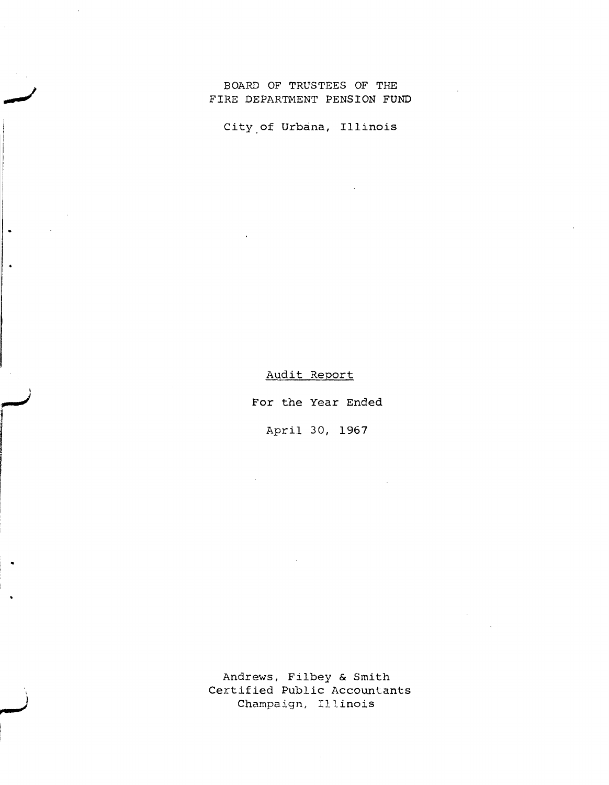## BOARD OF TRUSTEES OF THE FIRE DEPARTMENT PENSION FUND

City.of Urbana, Illinois

Audit Report

,

 $\ddot{\phantom{0}}$ 

,

For the Year Ended

April 30, 1967

Andrews, Filbey & Smith Certified Public Accountants Champaign, Illinois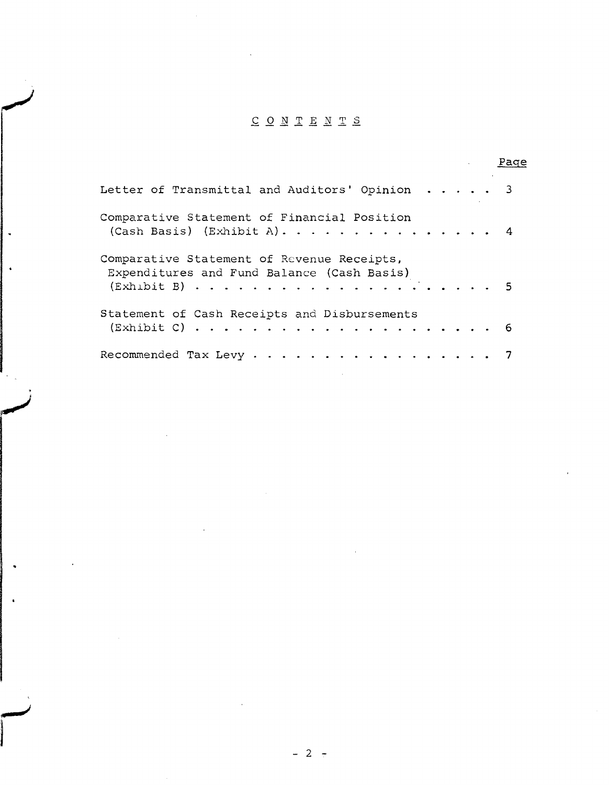# CONTENTS

|                                                                                          | rage |
|------------------------------------------------------------------------------------------|------|
| Letter of Transmittal and Auditors' Opinion 3                                            |      |
| Comparative Statement of Financial Position<br>(Cash Basis) (Exhibit A). 4               |      |
| Comparative Statement of Revenue Receipts,<br>Expenditures and Fund Balance (Cash Basis) |      |
| Statement of Cash Receipts and Disbursements                                             |      |
| Recommended Tax Levy 7                                                                   |      |

 $\mathcal{L}_{\mathcal{A}}$ 

 $\ddot{\phantom{a}}$ 

 $\mathcal{L}_{\mathcal{A}}$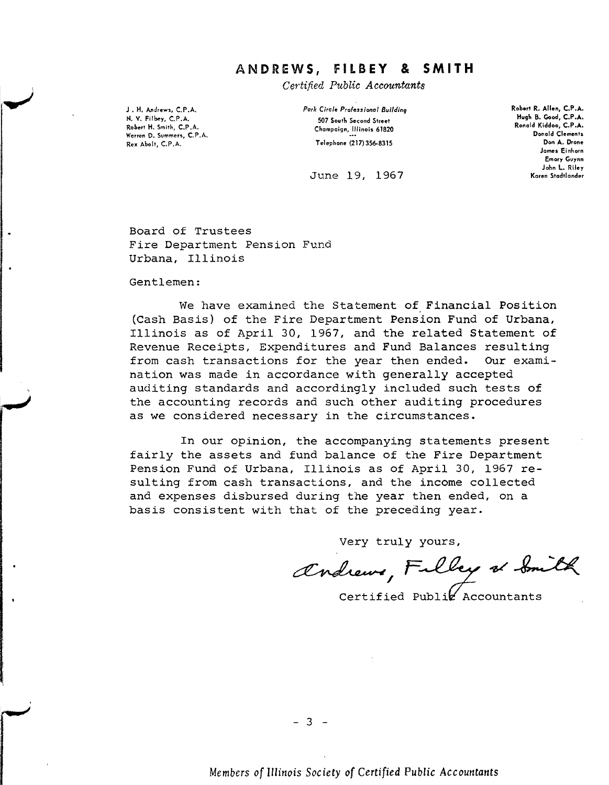# **ANDREWS, flLBEY & SMITH**

Certified Public Accountants

J. H. Andrews, C.P.A. N. V. Filbey, C.P.A. Robert H. Smith, C.P .A. **Warren D. Summers, C. P.A.** Rex Abolt, C.P.A.

*Park Circle Pro'essiona' Sui/cling* 507 South Second Street Champaign, Illinois 61820 Telephone (217) 356-8315

Robert R. Allen, C.P.A. Hugh 8. Good, C.P.A. Ronald Kiddoo, C.P.A. Donald Clements Don A. Drone **James Einhorn** Emory Guynn John L. Riley Karen Stadtlander

June 19, 1967

Board of Trustees Fire Department Pension Fund Urbana, IllinoiS

Gentlemen:

We have examined the Statement of Financial Position (Cash Basis) of the Fire Department Pension Fund of Urbana, Illinois as of April 3D, 1967, and the related Statement of Revenue Receipts, Expenditures and Fund Balances resulting from cash transactions for the year then ended. Our examination was made in accordance with generally accepted auditing standards and accordingly included such tests of the accounting records and such other auditing procedures as we considered necessary in the circumstances.

In our opinion, the accompanying statements present fairly the assets and fund balance of the Fire Department Pension Fund of Urbana, Illinois as of April 3D, 1967 resulting from cash transactions, and the income collected and expenses disbursed during the year then ended, on a basis consistent with that of the preceding year.

Very truly yours,

andrews, Filley of Smith

Certified Publiz Accountants

- 3 -

*Members of Illinois Society of Certified Public Accountants*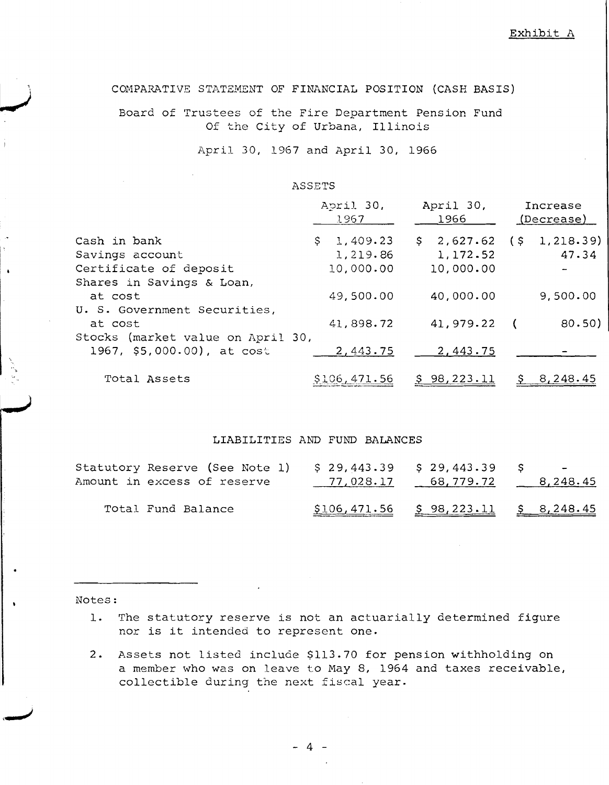Exhibit A

COMPARATIVE STATEMENT OF FINANCIAL POSITION (CASH BASIS)

Board of Trustees of the Fire Department Pension Fund Of the City of Urbana, Illinois

April 30, 1967 and April 30, 1966

#### ASSETS

|                                   | April 30,<br>1967 | April 30,<br>1966  | Increase<br>(Decrease) |
|-----------------------------------|-------------------|--------------------|------------------------|
| Cash in bank                      | 1,409.23<br>Ş.    | $$2,627.62$ (\$)   | 1,218.39)              |
| Savings account                   | 1,219.86          | 1,172.52           | 47.34                  |
| Certificate of deposit            | 10,000.00         | 10,000.00          |                        |
| Shares in Savings & Loan,         |                   |                    |                        |
| at cost                           | 49,500.00         | 40,000.00          | 9,500.00               |
| U. S. Government Securities,      |                   |                    |                        |
| at cost                           | 41,898.72         | 41,979.22          | 80.50)<br>$\sqrt{2}$   |
| Stocks (market value on April 30, |                   |                    |                        |
| 1967, \$5,000.00), at cost        | 2,443.75          | 2,443.75           |                        |
| Total Assets                      | \$106,471.56      | <u>\$98,223.11</u> | \$8, 248.45            |

#### LIABILITIES AND FUND BALANCES

| Statutory Reserve (See Note 1)<br>Amount in excess of reserve | $$29,443.39$ $$29,443.39$ \$ | $\frac{77,028.17}{2}$ 68, 779.72 8, 248.45 | $\sim$ |  |
|---------------------------------------------------------------|------------------------------|--------------------------------------------|--------|--|
| Total Fund Balance                                            |                              | $$106,471.56$ $$98,223.11$ $$8,248.45$     |        |  |

Notes:

- **1.** The statutory reserve is not an actuarially determined figure nor is it intended to represent one.
- 2. Assets not listed include \$113.70 for pension withholding on a member who was on leave to May 8, 1964 and taxes receivable, collectible during the next fiscal year.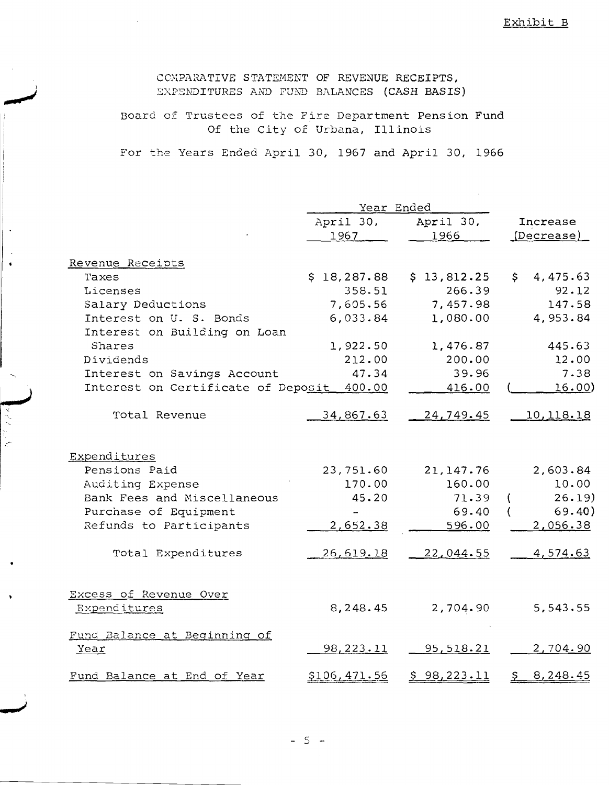COMPARATIVE STATEMENT OF REVENUE RECEIPTS, EXPENDITURES AND FUND BALANCES (CASH BASIS)

Board of Trustees of the Fire Department Pension Fund Of the City of Urbana, Illinois

For the Years Ended April 30, 1967 and April 30, 1966

|                                           | Year Ended        |                   |                            |
|-------------------------------------------|-------------------|-------------------|----------------------------|
|                                           | April 30,<br>1967 | April 30,<br>1966 | Increase<br>(Decrease)     |
| Revenue Receipts                          |                   |                   |                            |
| Taxes                                     | \$18,287.88       | \$13,812.25       | $\mathsf{S}^-$<br>4,475.63 |
| Licenses                                  | 358.51            | 266.39            | 92.12                      |
| Salary Deductions                         | 7,605.56          | 7,457.98          | 147.58                     |
| Interest on U. S. Bonds                   | 6,033.84          | 1,080.00          | 4,953.84                   |
| Interest on Building on Loan              |                   |                   |                            |
| Shares                                    | 1,922.50          | 1,476.87          | 445.63                     |
| Dividends                                 | 212.00            | 200.00            | 12.00                      |
| Interest on Savings Account               | 47.34             | 39.96             | 7.38                       |
| Interest on Certificate of Deposit 400.00 |                   | 416.00            | <u>16.00</u> )             |
| Total Revenue                             | <u>34,867.63</u>  | <u>24,749.45</u>  | 10, 118. 18                |
| Expenditures                              |                   |                   |                            |
| Pensions Paid                             | 23,751.60         | 21, 147.76        | 2,603.84                   |
| Auditing Expense                          | 170.00            | 160.00            | 10.00                      |
| Bank Fees and Miscellaneous               | 45.20             | 71.39             | 26.19<br>- 1               |
| Purchase of Equipment                     |                   | 69.40             | 69.40)                     |
| Refunds to Participants                   | 2,652.38          | 596.00            | 2,056.38                   |
| Total Expenditures                        | 26,619.18         | 22,044.55         | 4,574.63                   |
| Excess of Revenue Over                    |                   |                   |                            |
| Expenditures                              | 8,248.45          | 2,704.90          | 5,543.55                   |
| Fund Balance at Beginning of<br>Year      | 98, 223. 11       | <u>95,518.21</u>  | 2,704.90                   |
| Fund Balance at End of Year               | \$106,471.56      | \$98,223.11       | 8, 248. 45<br><u>يې</u>    |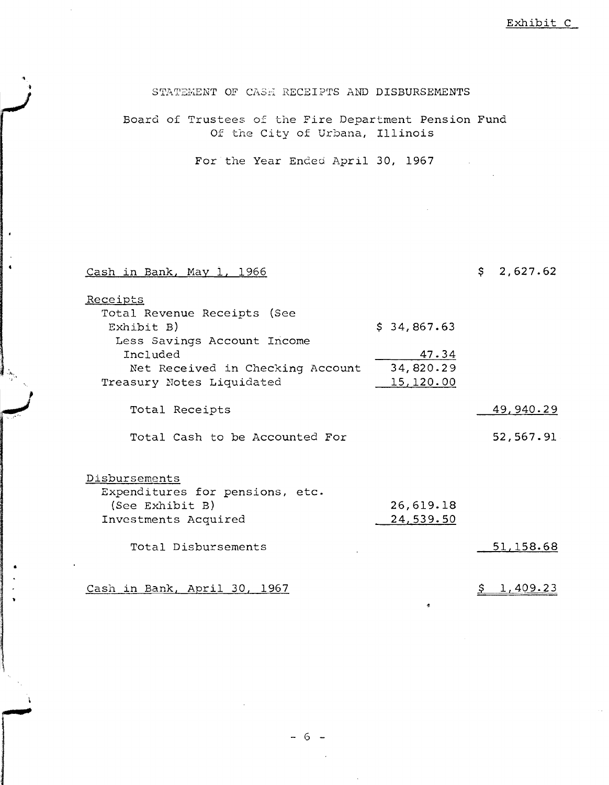Exhibit C

STATEMENT OF CASH RECEIPTS AND DISBURSEMENTS

Board of Trustees of the Fire Department Pension Fund Of the City of Urbana, Illinois

For the Year Ended April 30, 1967

#### Cash in Bank, May 1, 1966

'.

### $$ 2,627.62$

47.34 34, 820.29 15,120.00 \$ 34,867.63 Receipts Total Revenue Receipts (See Exhibit B) Less Savings Account Income Included Net Received in Checking Account Treasury Notes Liquidated Total Receipts 49,940.29 Total Cash to be Accounted For 52,567.91

#### Disbursements

| Expenditures for pensions, etc. |           |
|---------------------------------|-----------|
| (See Exhibit B)                 | 26,619.18 |
| Investments Acquired            | 24,539.50 |

Total Disbursements 51,158.68

Cash in Bank, April 30, 1967 **\$ 1,409.23**